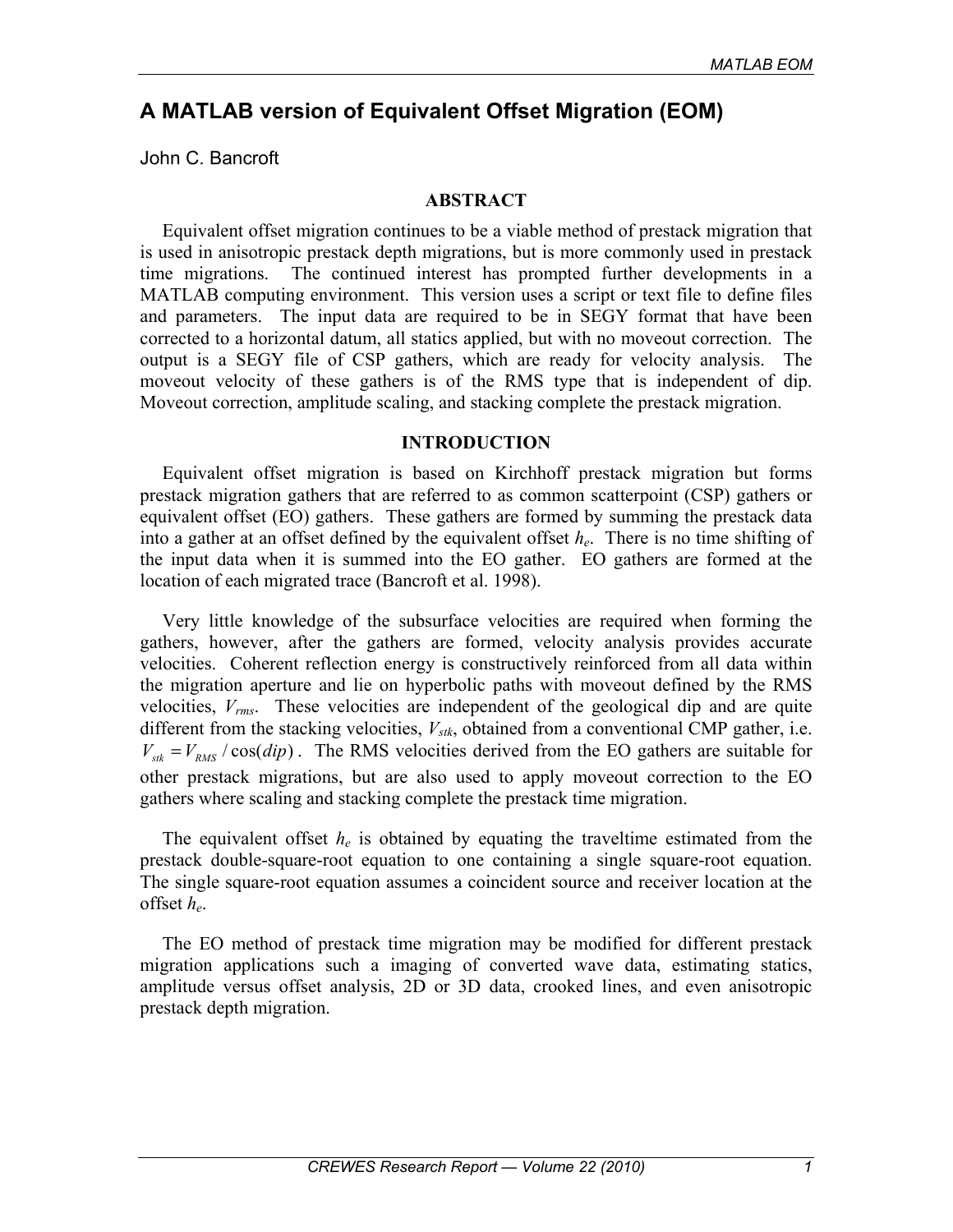# **A MATLAB version of Equivalent Offset Migration (EOM)**

John C. Bancroft

#### **ABSTRACT**

Equivalent offset migration continues to be a viable method of prestack migration that is used in anisotropic prestack depth migrations, but is more commonly used in prestack time migrations. The continued interest has prompted further developments in a MATLAB computing environment. This version uses a script or text file to define files and parameters. The input data are required to be in SEGY format that have been corrected to a horizontal datum, all statics applied, but with no moveout correction. The output is a SEGY file of CSP gathers, which are ready for velocity analysis. The moveout velocity of these gathers is of the RMS type that is independent of dip. Moveout correction, amplitude scaling, and stacking complete the prestack migration.

#### **INTRODUCTION**

Equivalent offset migration is based on Kirchhoff prestack migration but forms prestack migration gathers that are referred to as common scatterpoint (CSP) gathers or equivalent offset (EO) gathers. These gathers are formed by summing the prestack data into a gather at an offset defined by the equivalent offset *he*. There is no time shifting of the input data when it is summed into the EO gather. EO gathers are formed at the location of each migrated trace (Bancroft et al. 1998).

Very little knowledge of the subsurface velocities are required when forming the gathers, however, after the gathers are formed, velocity analysis provides accurate velocities. Coherent reflection energy is constructively reinforced from all data within the migration aperture and lie on hyperbolic paths with moveout defined by the RMS velocities, *Vrms*. These velocities are independent of the geological dip and are quite different from the stacking velocities,  $V_{stk}$ , obtained from a conventional CMP gather, i.e.  $V_{sik} = V_{RMS} / \cos(dip)$ . The RMS velocities derived from the EO gathers are suitable for other prestack migrations, but are also used to apply moveout correction to the EO gathers where scaling and stacking complete the prestack time migration.

The equivalent offset *he* is obtained by equating the traveltime estimated from the prestack double-square-root equation to one containing a single square-root equation. The single square-root equation assumes a coincident source and receiver location at the offset *he*.

The EO method of prestack time migration may be modified for different prestack migration applications such a imaging of converted wave data, estimating statics, amplitude versus offset analysis, 2D or 3D data, crooked lines, and even anisotropic prestack depth migration.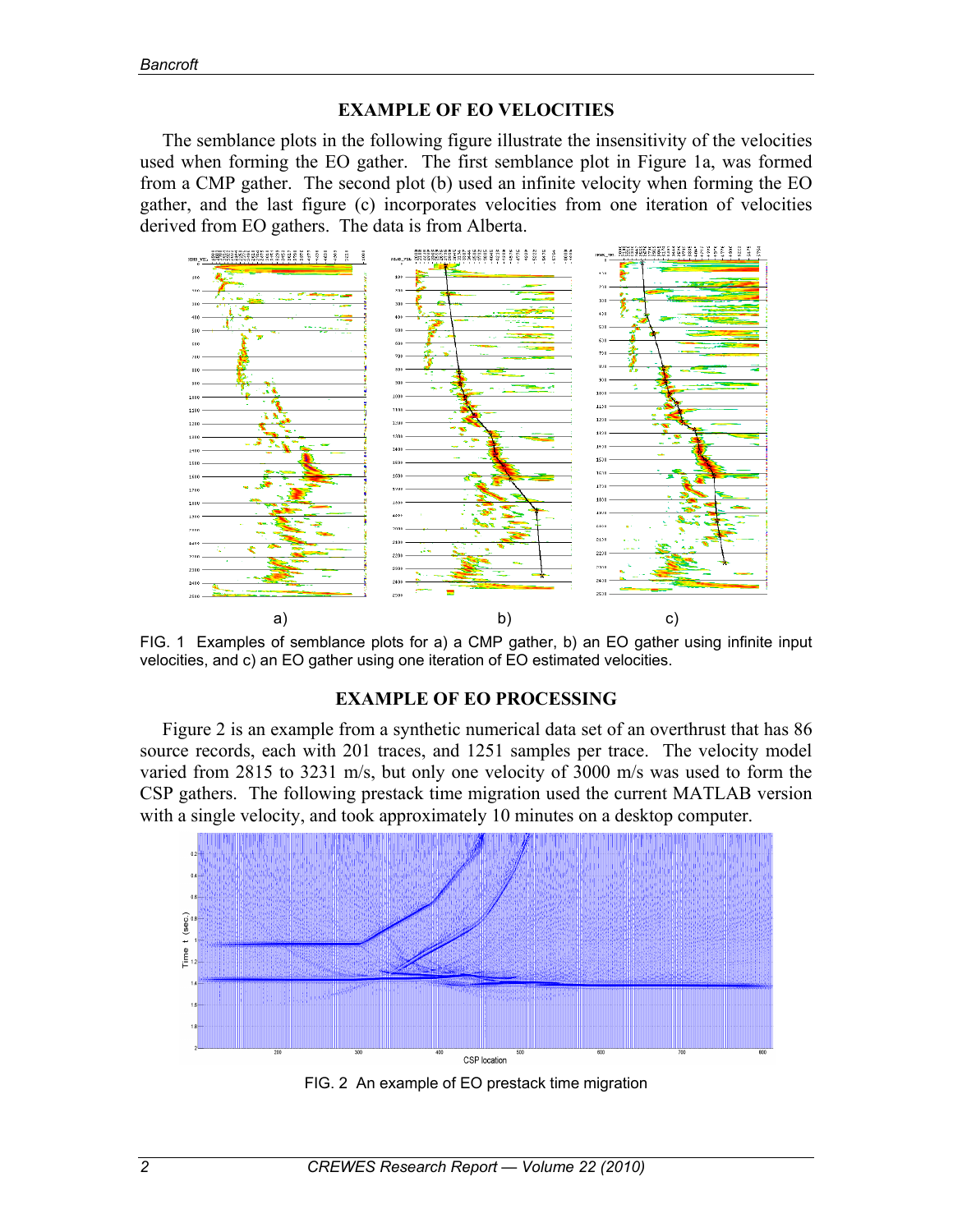## **EXAMPLE OF EO VELOCITIES**

The semblance plots in the following figure illustrate the insensitivity of the velocities used when forming the EO gather. The first semblance plot in Figure 1a, was formed from a CMP gather. The second plot (b) used an infinite velocity when forming the EO gather, and the last figure (c) incorporates velocities from one iteration of velocities derived from EO gathers. The data is from Alberta.



FIG. 1 Examples of semblance plots for a) a CMP gather, b) an EO gather using infinite input velocities, and c) an EO gather using one iteration of EO estimated velocities.

## **EXAMPLE OF EO PROCESSING**

Figure 2 is an example from a synthetic numerical data set of an overthrust that has 86 source records, each with 201 traces, and 1251 samples per trace. The velocity model varied from 2815 to 3231 m/s, but only one velocity of 3000 m/s was used to form the CSP gathers. The following prestack time migration used the current MATLAB version with a single velocity, and took approximately 10 minutes on a desktop computer.



FIG. 2 An example of EO prestack time migration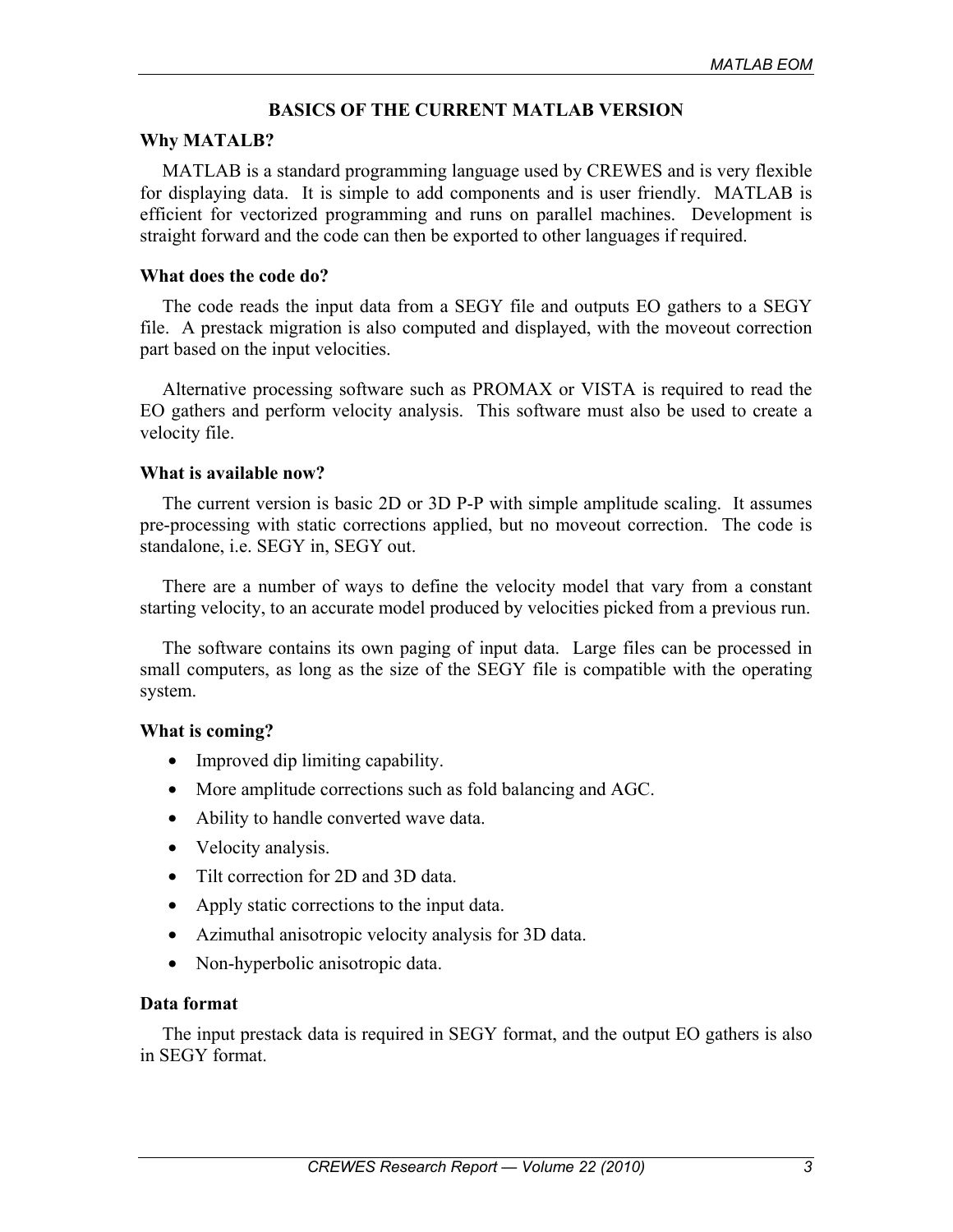## **BASICS OF THE CURRENT MATLAB VERSION**

#### **Why MATALB?**

MATLAB is a standard programming language used by CREWES and is very flexible for displaying data. It is simple to add components and is user friendly. MATLAB is efficient for vectorized programming and runs on parallel machines. Development is straight forward and the code can then be exported to other languages if required.

### **What does the code do?**

The code reads the input data from a SEGY file and outputs EO gathers to a SEGY file. A prestack migration is also computed and displayed, with the moveout correction part based on the input velocities.

Alternative processing software such as PROMAX or VISTA is required to read the EO gathers and perform velocity analysis. This software must also be used to create a velocity file.

### **What is available now?**

The current version is basic 2D or 3D P-P with simple amplitude scaling. It assumes pre-processing with static corrections applied, but no moveout correction. The code is standalone, i.e. SEGY in, SEGY out.

There are a number of ways to define the velocity model that vary from a constant starting velocity, to an accurate model produced by velocities picked from a previous run.

The software contains its own paging of input data. Large files can be processed in small computers, as long as the size of the SEGY file is compatible with the operating system.

### **What is coming?**

- Improved dip limiting capability.
- More amplitude corrections such as fold balancing and AGC.
- Ability to handle converted wave data.
- Velocity analysis.
- Tilt correction for 2D and 3D data.
- Apply static corrections to the input data.
- Azimuthal anisotropic velocity analysis for 3D data.
- Non-hyperbolic anisotropic data.

### **Data format**

The input prestack data is required in SEGY format, and the output EO gathers is also in SEGY format.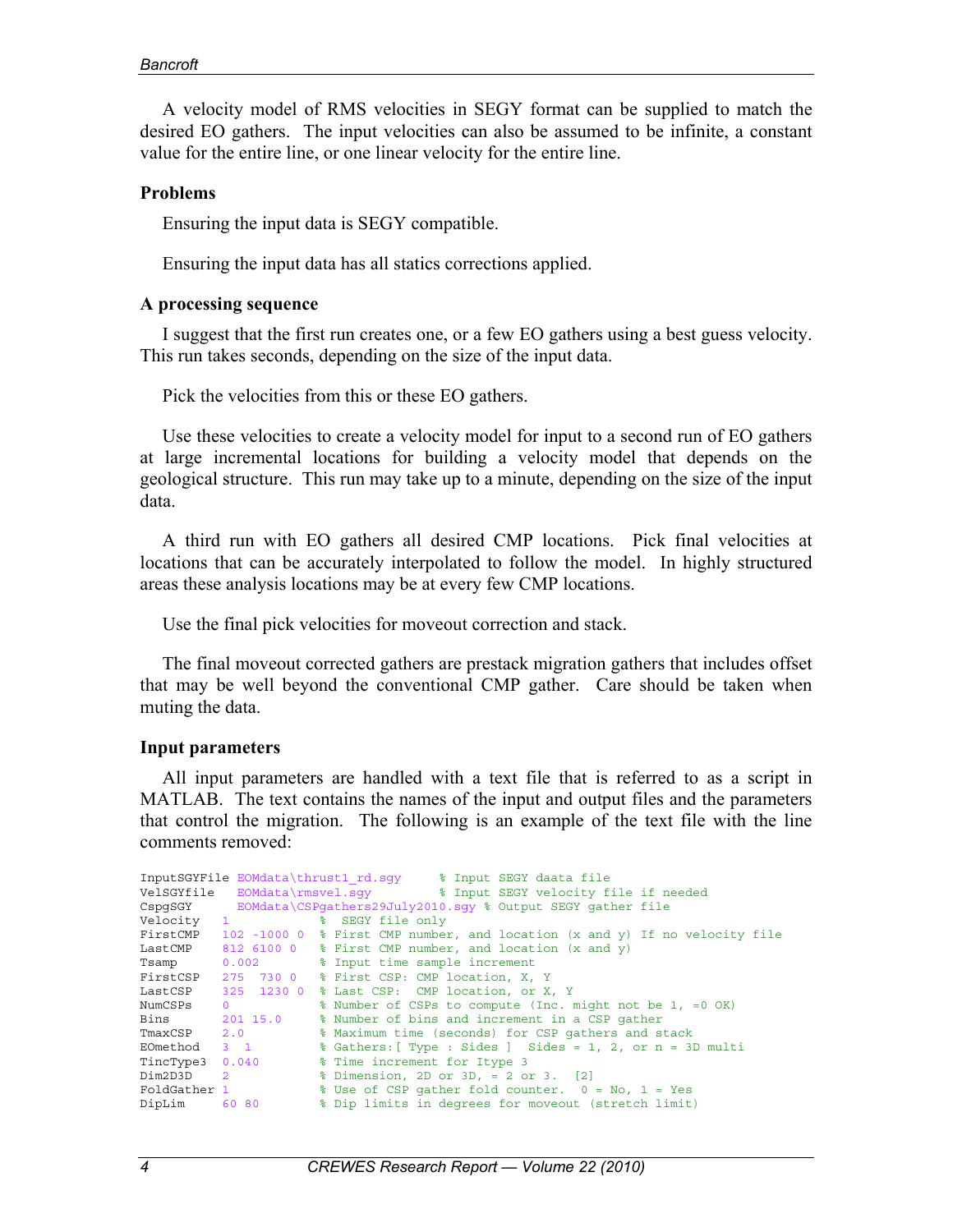A velocity model of RMS velocities in SEGY format can be supplied to match the desired EO gathers. The input velocities can also be assumed to be infinite, a constant value for the entire line, or one linear velocity for the entire line.

#### **Problems**

Ensuring the input data is SEGY compatible.

Ensuring the input data has all statics corrections applied.

#### **A processing sequence**

I suggest that the first run creates one, or a few EO gathers using a best guess velocity. This run takes seconds, depending on the size of the input data.

Pick the velocities from this or these EO gathers.

Use these velocities to create a velocity model for input to a second run of EO gathers at large incremental locations for building a velocity model that depends on the geological structure. This run may take up to a minute, depending on the size of the input data.

A third run with EO gathers all desired CMP locations. Pick final velocities at locations that can be accurately interpolated to follow the model. In highly structured areas these analysis locations may be at every few CMP locations.

Use the final pick velocities for moveout correction and stack.

The final moveout corrected gathers are prestack migration gathers that includes offset that may be well beyond the conventional CMP gather. Care should be taken when muting the data.

#### **Input parameters**

All input parameters are handled with a text file that is referred to as a script in MATLAB. The text contains the names of the input and output files and the parameters that control the migration. The following is an example of the text file with the line comments removed:

|                           |                 | InputSGYFile EOMdata\thrust1 rd.sqy % Input SEGY daata file                |
|---------------------------|-----------------|----------------------------------------------------------------------------|
|                           |                 | VelSGYfile EOMdata\rmsvel.sqy 3 Input SEGY velocity file if needed         |
|                           |                 | CspgSGY EOMdata\CSPgathers29July2010.sqy % Output SEGY gather file         |
| Velocity 1                |                 | % SEGY file only                                                           |
| FirstCMP                  |                 | 102 -1000 0 % First CMP number, and location (x and y) If no velocity file |
|                           |                 | LastCMP $81261000$ % First CMP number, and location (x and y)              |
|                           |                 | Tsamp 0.002 % Input time sample increment                                  |
|                           |                 | FirstCSP 275 730 0 % First CSP: CMP location, X, Y                         |
|                           |                 | LastCSP 325 1230 0 % Last CSP: CMP location, or X, Y                       |
| NumCSPs                   | $\Omega$        | % Number of CSPs to compute (Inc. might not be 1, =0 OK)                   |
|                           | Bins 201 15.0   | % Number of bins and increment in a CSP gather                             |
| TmaxCSP 2.0               |                 | % Maximum time (seconds) for CSP gathers and stack                         |
| EOmethod 3 1              |                 | % Gathers: [ Type : Sides ] Sides = 1, 2, or n = 3D multi                  |
|                           | TincType3 0.040 | % Time increment for Itype 3                                               |
| Dim2D3D<br>$\overline{2}$ |                 | % Dimension, 2D or 3D, = 2 or 3. [2]                                       |
| FoldGather 1              |                 | % Use of CSP gather fold counter. 0 = No, 1 = Yes                          |
| DipLim                    | 60 80           | % Dip limits in degrees for moveout (stretch limit)                        |